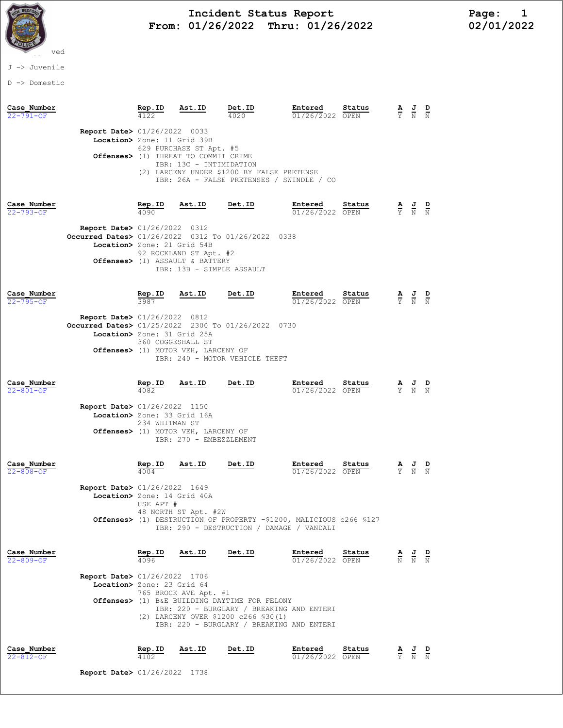

## Incident Status Report<br>01/26/2022 Thru: 01/26/2022 12/01/2022 From:  $01/26/2022$  Thru:  $01/26/2022$

## J -> Juvenile

D -> Domestic

| Case Number<br>22-791-OF       | Report Date> 01/26/2022 0033                                                                                                                                                                                                                                                     | Rep.ID                                                                                                                                                                      | Ast.ID                                                                                     | Det.ID<br>4020                                                                                                   | Entered<br>01/26/2022 OPEN | Status |               | $\frac{\mathbf{J}}{\overline{\mathrm{N}}}$                                                      |  |
|--------------------------------|----------------------------------------------------------------------------------------------------------------------------------------------------------------------------------------------------------------------------------------------------------------------------------|-----------------------------------------------------------------------------------------------------------------------------------------------------------------------------|--------------------------------------------------------------------------------------------|------------------------------------------------------------------------------------------------------------------|----------------------------|--------|---------------|-------------------------------------------------------------------------------------------------|--|
|                                | Location> Zone: 11 Grid 39B                                                                                                                                                                                                                                                      |                                                                                                                                                                             | 629 PURCHASE ST Apt. #5<br>Offenses> (1) THREAT TO COMMIT CRIME<br>IBR: 13C - INTIMIDATION | (2) LARCENY UNDER \$1200 BY FALSE PRETENSE<br>IBR: 26A - FALSE PRETENSES / SWINDLE / CO                          |                            |        |               |                                                                                                 |  |
| Case Number<br>$22 - 793 - OF$ | Report Date> 01/26/2022 0312                                                                                                                                                                                                                                                     | Rep.ID<br>4090                                                                                                                                                              | Ast.ID                                                                                     | Det.ID                                                                                                           | Entered<br>01/26/2022 OPEN | Status |               | $\frac{\mathbf{A}}{\mathbf{Y}}$ $\frac{\mathbf{J}}{\mathbf{N}}$ $\frac{\mathbf{D}}{\mathbf{N}}$ |  |
|                                |                                                                                                                                                                                                                                                                                  | Occurred Dates> 01/26/2022 0312 To 01/26/2022 0338<br>Location> Zone: 21 Grid 54B<br>92 ROCKLAND ST Apt. #2<br>Offenses> (1) ASSAULT & BATTERY<br>IBR: 13B - SIMPLE ASSAULT |                                                                                            |                                                                                                                  |                            |        |               |                                                                                                 |  |
| Case Number<br>22-795-OF       |                                                                                                                                                                                                                                                                                  | Rep.ID                                                                                                                                                                      | Ast.ID                                                                                     | Det.ID                                                                                                           | Entered<br>01/26/2022 OPEN | Status |               | $\frac{\mathbf{A}}{\mathbf{Y}}$ $\frac{\mathbf{J}}{\mathbf{N}}$ $\frac{\mathbf{D}}{\mathbf{N}}$ |  |
|                                | <b>Report Date&gt; 01/26/2022 0812</b><br>Occurred Dates> 01/25/2022 2300 To 01/26/2022 0730<br>Location> Zone: 31 Grid 25A                                                                                                                                                      |                                                                                                                                                                             | 360 COGGESHALL ST<br>Offenses> (1) MOTOR VEH, LARCENY OF                                   |                                                                                                                  |                            |        |               |                                                                                                 |  |
| Case Number<br>22-801-OF       |                                                                                                                                                                                                                                                                                  | Rep.ID<br>4082                                                                                                                                                              | Ast.ID                                                                                     | IBR: 240 - MOTOR VEHICLE THEFT<br>Det.ID                                                                         | Entered<br>01/26/2022 OPEN | Status |               | $\frac{J}{N}$                                                                                   |  |
|                                |                                                                                                                                                                                                                                                                                  | <b>Report Date&gt; 01/26/2022 1150</b><br>Location> Zone: 33 Grid 16A<br>234 WHITMAN ST<br>Offenses> (1) MOTOR VEH, LARCENY OF<br>IBR: 270 - EMBEZZLEMENT                   |                                                                                            |                                                                                                                  |                            |        |               |                                                                                                 |  |
| Case Number<br>$22 - 808 - OF$ |                                                                                                                                                                                                                                                                                  | Rep.ID<br>4004                                                                                                                                                              | Ast.ID                                                                                     | Det.ID                                                                                                           | Entered<br>01/26/2022 OPEN | Status | $\frac{A}{Y}$ | $\frac{1}{N}$                                                                                   |  |
|                                | <b>Report Date&gt; 01/26/2022 1649</b><br>Location> Zone: 14 Grid 40A                                                                                                                                                                                                            | USE APT #                                                                                                                                                                   | 48 NORTH ST Apt. #2W                                                                       | Offenses> (1) DESTRUCTION OF PROPERTY -\$1200, MALICIOUS c266 \$127<br>IBR: 290 - DESTRUCTION / DAMAGE / VANDALI |                            |        |               |                                                                                                 |  |
| Case Number<br>22-809-OF       |                                                                                                                                                                                                                                                                                  | Rep.ID<br>4096                                                                                                                                                              | Ast.ID                                                                                     | Det.ID                                                                                                           | Entered<br>01/26/2022 OPEN | Status |               | $\frac{\mathbf{A}}{\mathbb{N}}$ $\frac{\mathbf{J}}{\mathbb{N}}$ $\frac{\mathbf{D}}{\mathbb{N}}$ |  |
|                                | <b>Report Date&gt; 01/26/2022 1706</b><br>Location> Zone: 23 Grid 64<br>765 BROCK AVE Apt. #1<br>Offenses> (1) B&E BUILDING DAYTIME FOR FELONY<br>IBR: 220 - BURGLARY / BREAKING AND ENTERI<br>(2) LARCENY OVER \$1200 c266 \$30(1)<br>IBR: 220 - BURGLARY / BREAKING AND ENTERI |                                                                                                                                                                             |                                                                                            |                                                                                                                  |                            |        |               |                                                                                                 |  |
| Case Number                    |                                                                                                                                                                                                                                                                                  | Rep.ID                                                                                                                                                                      | Ast.ID                                                                                     | Det.ID                                                                                                           | Entered                    | Status |               | A J D                                                                                           |  |

22-812-OF 4102 4102  $\overline{01/26/2022}$  OPEN  $\overline{Y}$  N N

Report Date> 01/26/2022 1738